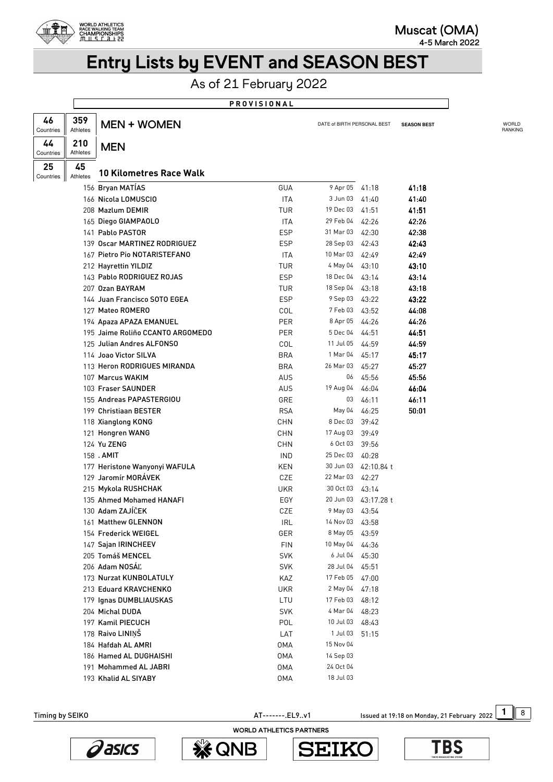

As of 21 February 2022

|                 |                 | PROVISIONAL                      |            |                             |            |                    |                                |  |
|-----------------|-----------------|----------------------------------|------------|-----------------------------|------------|--------------------|--------------------------------|--|
| 46<br>Countries | 359<br>Athletes | <b>MEN + WOMEN</b>               |            | DATE of BIRTH PERSONAL BEST |            | <b>SEASON BEST</b> | <b>WORLD</b><br><b>RANKING</b> |  |
| 44<br>Countries | 210<br>Athletes | <b>MEN</b>                       |            |                             |            |                    |                                |  |
| 25<br>Countries | 45<br>Athletes  | <b>10 Kilometres Race Walk</b>   |            |                             |            |                    |                                |  |
|                 |                 | 156 Bryan MATÍAS                 | GUA        | 9 Apr 05                    | 41:18      | 41:18              |                                |  |
|                 |                 | 166 Nicola LOMUSCIO              | <b>ITA</b> | 3 Jun 03                    | 41:40      | 41:40              |                                |  |
|                 |                 | 208 Mazlum DEMIR                 | TUR        | 19 Dec 03                   | 41:51      | 41:51              |                                |  |
|                 |                 | 165 Diego GIAMPAOLO              | <b>ITA</b> | 29 Feb 04                   | 42:26      | 42:26              |                                |  |
|                 |                 | 141 Pablo PASTOR                 | <b>ESP</b> | 31 Mar 03                   | 42:30      | 42:38              |                                |  |
|                 |                 | 139 Oscar MARTINEZ RODRIGUEZ     | <b>ESP</b> | 28 Sep 03                   | 42:43      | 42:43              |                                |  |
|                 |                 | 167 Pietro Pio NOTARISTEFANO     | <b>ITA</b> | 10 Mar 03                   | 42:49      | 42:49              |                                |  |
|                 |                 | 212 Hayrettin YILDIZ             | TUR        | 4 May 04                    | 43:10      | 43:10              |                                |  |
|                 |                 | 143 Pablo RODRIGUEZ ROJAS        | <b>ESP</b> | 18 Dec 04                   | 43:14      | 43:14              |                                |  |
|                 |                 | 207 Ozan BAYRAM                  | TUR        | 18 Sep 04                   | 43:18      | 43:18              |                                |  |
|                 |                 | 144 Juan Francisco SOTO EGEA     | <b>ESP</b> | 9 Sep 03                    | 43:22      | 43:22              |                                |  |
|                 |                 | 127 Mateo ROMERO                 | COL        | 7 Feb 03                    | 43:52      | 44:08              |                                |  |
|                 |                 | 194 Apaza APAZA EMANUEL          | PER        | 8 Apr 05                    | 44:26      | 44:26              |                                |  |
|                 |                 | 195 Jaime Roliño CCANTO ARGOMEDO | PER        | 5 Dec 04                    | 44:51      | 44:51              |                                |  |
|                 |                 | 125 Julian Andres ALFONSO        | COL        | 11 Jul 05                   | 44:59      | 44:59              |                                |  |
|                 |                 | 114 Joao Victor SILVA            | <b>BRA</b> | 1 Mar 04                    | 45:17      | 45:17              |                                |  |
|                 |                 | 113 Heron RODRIGUES MIRANDA      | <b>BRA</b> | 26 Mar 03                   | 45:27      | 45:27              |                                |  |
|                 |                 | 107 Marcus WAKIM                 | AUS        | 06                          | 45:56      | 45:56              |                                |  |
|                 |                 | 103 Fraser SAUNDER               | AUS        | 19 Aug 04                   | 46:04      | 46:04              |                                |  |
|                 |                 | 155 Andreas PAPASTERGIOU         | GRE        | 03                          | 46:11      | 46:11              |                                |  |
|                 |                 | 199 Christiaan BESTER            | <b>RSA</b> | May 04                      | 46:25      | 50:01              |                                |  |
|                 |                 | 118 Xianglong KONG               | <b>CHN</b> | 8 Dec 03                    | 39:42      |                    |                                |  |
|                 |                 | 121 Hongren WANG                 | <b>CHN</b> | 17 Aug 03                   | 39:49      |                    |                                |  |
|                 |                 | 124 Yu ZENG                      | <b>CHN</b> | 6 Oct 03                    | 39:56      |                    |                                |  |
|                 |                 | 158 . AMIT                       | <b>IND</b> | 25 Dec 03                   | 40:28      |                    |                                |  |
|                 |                 | 177 Heristone Wanyonyi WAFULA    | <b>KEN</b> | 30 Jun 03                   | 42:10.84 t |                    |                                |  |
|                 |                 | 129 Jaromír MORÁVEK              | CZE        | 22 Mar 03                   | 42:27      |                    |                                |  |
|                 |                 | 215 Mykola RUSHCHAK              | <b>UKR</b> | 30 Oct 03 43:14             |            |                    |                                |  |
|                 |                 | 135 Ahmed Mohamed HANAFI         | EGY        | 20 Jun 03                   | 43:17.28 t |                    |                                |  |
|                 |                 | 130 Adam ZAJIČEK                 | CZE        | 9 May 03 43:54              |            |                    |                                |  |
|                 |                 | 161 Matthew GLENNON              | <b>IRL</b> | 14 Nov 03                   | 43:58      |                    |                                |  |
|                 |                 | 154 Frederick WEIGEL             | GER        | 8 May 05                    | 43:59      |                    |                                |  |
|                 |                 | 147 Sajan IRINCHEEV              | <b>FIN</b> | 10 May 04                   | 44:36      |                    |                                |  |
|                 |                 | 205 Tomáš MENCEL                 | <b>SVK</b> | 6 Jul 04                    | 45:30      |                    |                                |  |
|                 |                 | 206 Adam NOSÁĽ                   | <b>SVK</b> | 28 Jul 04                   | 45:51      |                    |                                |  |
|                 |                 | 173 Nurzat KUNBOLATULY           | KAZ        | 17 Feb 05                   | 47:00      |                    |                                |  |
|                 |                 | 213 Eduard KRAVCHENKO            | <b>UKR</b> | 2 May 04                    | 47:18      |                    |                                |  |
|                 |                 | 179 Ignas DUMBLIAUSKAS           | LTU        | 17 Feb 03                   | 48:12      |                    |                                |  |
|                 |                 | 204 Michal DUDA                  | <b>SVK</b> | 4 Mar 04                    | 48:23      |                    |                                |  |
|                 |                 | 197 Kamil PIECUCH                | POL        | 10 Jul 03                   | 48:43      |                    |                                |  |
|                 |                 | 178 Raivo LINIŅŠ                 | LAT        | 1 Jul 03                    | 51:15      |                    |                                |  |
|                 |                 | 184 Hafdah AL AMRI               | <b>OMA</b> | 15 Nov 04                   |            |                    |                                |  |
|                 |                 | 186 Hamed AL DUGHAISHI           | <b>OMA</b> | 14 Sep 03                   |            |                    |                                |  |
|                 |                 | 191 Mohammed AL JABRI            | <b>OMA</b> | 24 Oct 04                   |            |                    |                                |  |
|                 |                 | 193 Khalid AL SIYABY             | 0MA        | 18 Jul 03                   |            |                    |                                |  |

WORLD ATHLETICS PARTNERS







**SEIK** 

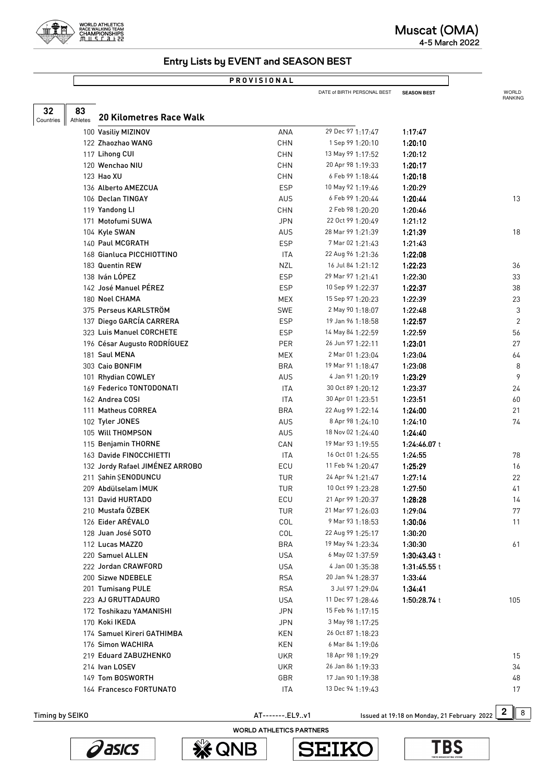

# **Muscat (OMA)**

**4-5 March 2022** 

# Entry Lists by EVENT and SEASON BEST

|           |          |                                 | PROVISIONAL |                             |                    |                         |
|-----------|----------|---------------------------------|-------------|-----------------------------|--------------------|-------------------------|
|           |          |                                 |             | DATE of BIRTH PERSONAL BEST | <b>SEASON BEST</b> | WORLD<br><b>RANKING</b> |
| 32        | 83       | <b>20 Kilometres Race Walk</b>  |             |                             |                    |                         |
| Countries | Athletes | 100 Vasiliy MIZINOV             | ANA         | 29 Dec 97 1:17:47           | 1:17:47            |                         |
|           |          | 122 Zhaozhao WANG               | <b>CHN</b>  | 1 Sep 99 1:20:10            | 1:20:10            |                         |
|           |          | 117 Lihong CUI                  | CHN         | 13 May 99 1:17:52           | 1:20:12            |                         |
|           |          | 120 Wenchao NIU                 | CHN         | 20 Apr 98 1:19:33           | 1:20:17            |                         |
|           |          | 123 Hao XU                      | CHN         | 6 Feb 99 1:18:44            | 1:20:18            |                         |
|           |          | 136 Alberto AMEZCUA             | <b>ESP</b>  | 10 May 92 1:19:46           | 1:20:29            |                         |
|           |          | 106 Declan TINGAY               | <b>AUS</b>  | 6 Feb 99 1:20:44            | 1:20:44            | 13                      |
|           |          | 119 Yandong Ll                  | CHN         | 2 Feb 98 1:20:20            | 1:20:46            |                         |
|           |          | 171 Motofumi SUWA               | <b>JPN</b>  | 22 Oct 99 1:20:49           | 1:21:12            |                         |
|           |          | 104 Kyle SWAN                   | <b>AUS</b>  | 28 Mar 99 1:21:39           | 1:21:39            | 18                      |
|           |          | 140 Paul MCGRATH                | <b>ESP</b>  | 7 Mar 02 1:21:43            | 1:21:43            |                         |
|           |          | 168 Gianluca PICCHIOTTINO       | <b>ITA</b>  | 22 Aug 96 1:21:36           | 1:22:08            |                         |
|           |          | 183 Quentin REW                 | <b>NZL</b>  | 16 Jul 84 1:21:12           | 1:22:23            | 36                      |
|           |          | 138 Iván LÓPEZ                  | <b>ESP</b>  | 29 Mar 97 1:21:41           | 1:22:30            | 33                      |
|           |          | 142 José Manuel PÉREZ           | <b>ESP</b>  | 10 Sep 99 1:22:37           | 1:22:37            | 38                      |
|           |          | 180 Noel CHAMA                  | MEX         | 15 Sep 97 1:20:23           | 1:22:39            | 23                      |
|           |          | 375 Perseus KARLSTRÖM           | <b>SWE</b>  | 2 May 90 1:18:07            | 1:22:48            | 3                       |
|           |          | 137 Diego GARCÍA CARRERA        | <b>ESP</b>  | 19 Jan 96 1:18:58           | 1:22:57            | $\overline{2}$          |
|           |          | 323 Luis Manuel CORCHETE        | <b>ESP</b>  | 14 May 84 1:22:59           | 1:22:59            | 56                      |
|           |          | 196 César Augusto RODRÍGUEZ     | <b>PER</b>  | 26 Jun 97 1:22:11           | 1:23:01            | 27                      |
|           |          | 181 Saul MENA                   | MEX         | 2 Mar 01 1:23:04            | 1:23:04            | 64                      |
|           |          | 303 Caio BONFIM                 | <b>BRA</b>  | 19 Mar 91 1:18:47           | 1:23:08            | 8                       |
|           |          | 101 Rhydian COWLEY              | AUS         | 4 Jan 91 1:20:19            | 1:23:29            | 9                       |
|           |          | 169 Federico TONTODONATI        | <b>ITA</b>  | 30 Oct 89 1:20:12           | 1:23:37            | 24                      |
|           |          | 162 Andrea COSI                 | <b>ITA</b>  | 30 Apr 01 1:23:51           | 1:23:51            | 60                      |
|           |          | 111 Matheus CORREA              | <b>BRA</b>  | 22 Aug 99 1:22:14           | 1:24:00            | 21                      |
|           |          | 102 Tyler JONES                 | AUS         | 8 Apr 98 1:24:10            | 1:24:10            | 74                      |
|           |          | 105 Will THOMPSON               | AUS         | 18 Nov 02 1:24:40           | 1:24:40            |                         |
|           |          | 115 Benjamin THORNE             | CAN         | 19 Mar 93 1:19:55           | 1:24:46.07 t       |                         |
|           |          | 163 Davide FINOCCHIETTI         | <b>ITA</b>  | 16 Oct 01 1:24:55           | 1:24:55            | 78                      |
|           |          | 132 Jordy Rafael JIMÉNEZ ARROBO | ECU         | 11 Feb 94 1:20:47           | 1:25:29            | 16                      |
|           |          | 211 Sahin SENODUNCU             | TUR         | 24 Apr 94 1:21:47           | 1:27:14            | 22                      |
|           |          | 209 Abdülselam İMUK             | TUR         | 10 Oct 99 1:23:28           | 1:27:50            | 41                      |
|           |          | 131 David HURTADO               | ECU         | 21 Apr 99 1:20:37           | 1:28:28            | 14                      |
|           |          | 210 Mustafa ÖZBEK               | <b>TUR</b>  | 21 Mar 97 1:26:03           | 1:29:04            | 77                      |
|           |          | 126 Eider ARÉVALO               | COL         | 9 Mar 93 1:18:53            | 1:30:06            | 11                      |
|           |          | 128 Juan José SOTO              | COL         | 22 Aug 99 1:25:17           | 1:30:20            |                         |
|           |          | 112 Lucas MAZZO                 | <b>BRA</b>  | 19 May 94 1:23:34           | 1:30:30            | 61                      |
|           |          | 220 Samuel ALLEN                | <b>USA</b>  | 6 May 02 1:37:59            | 1:30:43.43 t       |                         |
|           |          | 222 Jordan CRAWFORD             | USA         | 4 Jan 00 1:35:38            | $1:31:45.55$ t     |                         |
|           |          | 200 Sizwe NDEBELE               | <b>RSA</b>  | 20 Jan 94 1:28:37           | 1:33:44            |                         |
|           |          | 201 Tumisang PULE               | <b>RSA</b>  | 3 Jul 97 1:29:04            | 1:34:41            |                         |
|           |          | 223 AJ GRUTTADAURO              | USA         | 11 Dec 97 1:28:46           | 1:50:28.74 t       | 105                     |
|           |          | 172 Toshikazu YAMANISHI         | JPN         | 15 Feb 96 1:17:15           |                    |                         |
|           |          | 170 Koki IKEDA                  | JPN         | 3 May 98 1:17:25            |                    |                         |
|           |          | 174 Samuel Kireri GATHIMBA      | KEN         | 26 Oct 87 1:18:23           |                    |                         |
|           |          | 176 Simon WACHIRA               | KEN         | 6 Mar 84 1:19:06            |                    |                         |
|           |          | 219 Eduard ZABUZHENKO           | UKR         | 18 Apr 98 1:19:29           |                    | 15                      |
|           |          | 214 Ivan LOSEV                  | UKR         | 26 Jan 86 1:19:33           |                    | 34                      |
|           |          | 149 Tom BOSWORTH                | GBR         | 17 Jan 90 1:19:38           |                    | 48                      |
|           |          | 164 Francesco FORTUNATO         | <b>ITA</b>  | 13 Dec 94 1:19:43           |                    | 17                      |
|           |          |                                 |             |                             |                    |                         |

AT--------.EL9..v1 **2** Issued at 19:18 on Monday, 21 February 2022 2 8







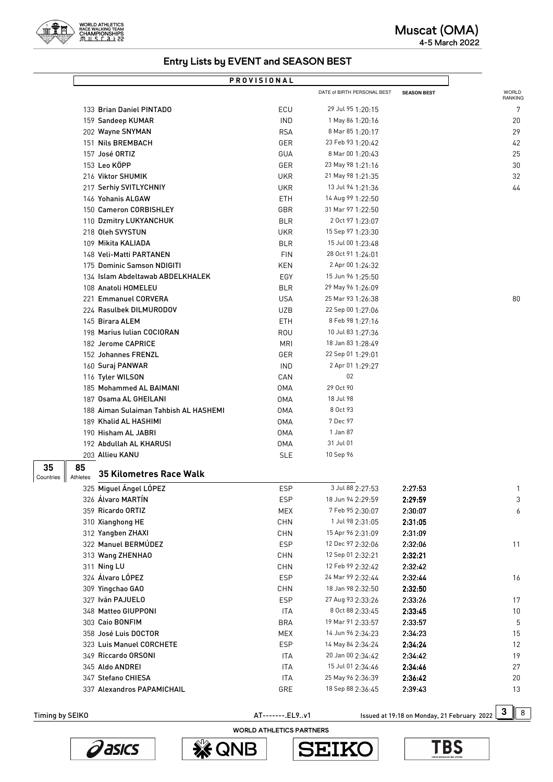

|           |          |                                             | PROVISIONAL       |                             |                    |                  |
|-----------|----------|---------------------------------------------|-------------------|-----------------------------|--------------------|------------------|
|           |          |                                             |                   | DATE of BIRTH PERSONAL BEST | <b>SEASON BEST</b> | WORLD<br>RANKING |
|           |          | 133 Brian Daniel PINTADO                    | ECU               | 29 Jul 95 1:20:15           |                    | 7                |
|           |          | 159 Sandeep KUMAR                           | <b>IND</b>        | 1 May 86 1:20:16            |                    | 20               |
|           |          | 202 Wayne SNYMAN                            | <b>RSA</b>        | 8 Mar 85 1:20:17            |                    | 29               |
|           |          | 151 Nils BREMBACH                           | GER               | 23 Feb 93 1:20:42           |                    | 42               |
|           |          | 157 José ORTIZ                              | GUA               | 8 Mar 00 1:20:43            |                    | 25               |
|           |          | 153 Leo KÖPP                                | GER               | 23 May 98 1:21:16           |                    | 30               |
|           |          | 216 Viktor SHUMIK                           | <b>UKR</b>        | 21 May 98 1:21:35           |                    | 32               |
|           |          | 217 Serhiy SVITLYCHNIY                      | <b>UKR</b>        | 13 Jul 94 1:21:36           |                    | 44               |
|           |          | 146 Yohanis ALGAW                           | ETH               | 14 Aug 99 1:22:50           |                    |                  |
|           |          | 150 Cameron CORBISHLEY                      | GBR               | 31 Mar 97 1:22:50           |                    |                  |
|           |          | 110 Dzmitry LUKYANCHUK                      | <b>BLR</b>        | 2 Oct 97 1:23:07            |                    |                  |
|           |          | 218 Oleh SVYSTUN                            | <b>UKR</b>        | 15 Sep 97 1:23:30           |                    |                  |
|           |          | 109 Mikita KALIADA                          | <b>BLR</b>        | 15 Jul 00 1:23:48           |                    |                  |
|           |          | 148 Veli-Matti PARTANEN                     | <b>FIN</b>        | 28 Oct 91 1:24:01           |                    |                  |
|           |          | 175 Dominic Samson NDIGITI                  | KEN               | 2 Apr 00 1:24:32            |                    |                  |
|           |          | 134 Islam Abdeltawab ABDELKHALEK            | EGY               | 15 Jun 96 1:25:50           |                    |                  |
|           |          | 108 Anatoli HOMELEU                         | <b>BLR</b>        | 29 May 96 1:26:09           |                    |                  |
|           |          | 221 Emmanuel CORVERA                        | <b>USA</b>        | 25 Mar 93 1:26:38           |                    | 80               |
|           |          | 224 Rasulbek DILMURODOV                     | <b>UZB</b>        | 22 Sep 00 1:27:06           |                    |                  |
|           |          | 145 Birara ALEM                             | <b>ETH</b>        | 8 Feb 98 1:27:16            |                    |                  |
|           |          | 198 Marius Iulian COCIORAN                  | ROU               | 10 Jul 83 1:27:36           |                    |                  |
|           |          | 182 Jerome CAPRICE                          | <b>MRI</b>        | 18 Jan 83 1:28:49           |                    |                  |
|           |          | 152 Johannes FRENZL                         | GER               | 22 Sep 01 1:29:01           |                    |                  |
|           |          | 160 Suraj PANWAR                            | <b>IND</b>        | 2 Apr 01 1:29:27            |                    |                  |
|           |          |                                             |                   | 02                          |                    |                  |
|           |          | 116 Tyler WILSON<br>185 Mohammed AL BAIMANI | CAN<br><b>OMA</b> | 29 Oct 90                   |                    |                  |
|           |          | 187 Osama AL GHEILANI                       | <b>OMA</b>        | 18 Jul 98                   |                    |                  |
|           |          | 188 Aiman Sulaiman Tahbish AL HASHEMI       | <b>OMA</b>        | 8 Oct 93                    |                    |                  |
|           |          | 189 Khalid AL HASHIMI                       | <b>OMA</b>        | 7 Dec 97                    |                    |                  |
|           |          |                                             | <b>OMA</b>        | 1 Jan 87                    |                    |                  |
|           |          | 190 Hisham AL JABRI                         |                   | 31 Jul 01                   |                    |                  |
|           |          | 192 Abdullah AL KHARUSI<br>203 Allieu KANU  | <b>OMA</b>        |                             |                    |                  |
| 35        | 85       |                                             | <b>SLE</b>        | 10 Sep 96                   |                    |                  |
| Countries | Athletes | <b>35 Kilometres Race Walk</b>              |                   |                             |                    |                  |
|           |          | 325 Miguel Ángel LÓPEZ                      | ESP               | 3 Jul 88 2:27:53            | 2:27:53            | 1                |
|           |          | 326 Álvaro MARTÍN                           | <b>ESP</b>        | 18 Jun 94 2:29:59           | 2:29:59            | 3                |
|           |          | 359 Ricardo ORTIZ                           | MEX               | 7 Feb 95 2:30:07            | 2:30:07            | 6                |
|           |          | 310 Xianghong HE                            | CHN               | 1 Jul 98 2:31:05            | 2:31:05            |                  |
|           |          | 312 Yangben ZHAXI                           | <b>CHN</b>        | 15 Apr 96 2:31:09           | 2:31:09            |                  |
|           |          | 322 Manuel BERMÚDEZ                         | <b>ESP</b>        | 12 Dec 97 2:32:06           | 2:32:06            | 11               |
|           |          | 313 Wang ZHENHAO                            | <b>CHN</b>        | 12 Sep 01 2:32:21           | 2:32:21            |                  |
|           |          | 311 Ning LU                                 | CHN               | 12 Feb 99 2:32:42           | 2:32:42            |                  |
|           |          | 324 Álvaro LÓPEZ                            | <b>ESP</b>        | 24 Mar 99 2:32:44           | 2:32:44            | 16               |
|           |          | 309 Yingchao GAO                            | <b>CHN</b>        | 18 Jan 98 2:32:50           | 2:32:50            |                  |
|           |          | 327 Iván PAJUELO                            | <b>ESP</b>        | 27 Aug 93 2:33:26           | 2:33:26            | 17               |
|           |          | 348 Matteo GIUPPONI                         | <b>ITA</b>        | 8 Oct 88 2:33:45            | 2:33:45            | 10               |
|           |          | 303 Caio BONFIM                             | <b>BRA</b>        | 19 Mar 91 2:33:57           | 2:33:57            | 5                |
|           |          | 358 José Luis DOCTOR                        | MEX               | 14 Jun 96 2:34:23           | 2:34:23            | 15               |
|           |          | 323 Luis Manuel CORCHETE                    | <b>ESP</b>        | 14 May 84 2:34:24           | 2:34:24            | 12               |
|           |          | 349 Riccardo ORSONI                         | <b>ITA</b>        | 20 Jan 00 2:34:42           | 2:34:42            | 19               |
|           |          | 345 Aldo ANDREI                             | <b>ITA</b>        | 15 Jul 01 2:34:46           | 2:34:46            | 27               |
|           |          | 347 Stefano CHIESA                          | <b>ITA</b>        | 25 May 96 2:36:39           | 2:36:42            | 20               |
|           |          | 337 Alexandros PAPAMICHAIL                  | GRE               | 18 Sep 88 2:36:45           | 2:39:43            | 13               |
|           |          |                                             |                   |                             |                    |                  |

AT--------.EL9..v1 **3** Issued at 19:18 on Monday, 21 February 2022 3 8







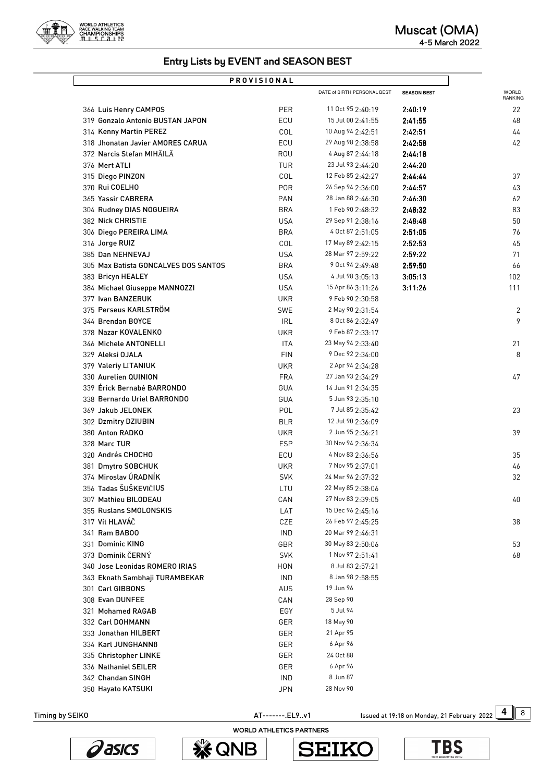

#### **4-5 March 2022**

# Entry Lists by EVENT and SEASON BEST

|                                      | PROVISIONAL |                             |                    |                         |
|--------------------------------------|-------------|-----------------------------|--------------------|-------------------------|
|                                      |             | DATE of BIRTH PERSONAL BEST | <b>SEASON BEST</b> | <b>WORLD</b><br>RANKING |
| 366 Luis Henry CAMPOS                | <b>PER</b>  | 11 Oct 95 2:40:19           | 2:40:19            | 22                      |
| 319 Gonzalo Antonio BUSTAN JAPON     | ECU         | 15 Jul 00 2:41:55           | 2:41:55            | 48                      |
| 314 Kenny Martin PEREZ               | COL         | 10 Aug 94 2:42:51           | 2:42:51            | 44                      |
| 318 Jhonatan Javier AMORES CARUA     | ECU         | 29 Aug 98 2:38:58           | 2:42:58            | 42                      |
| 372 Narcis Stefan MIHĂILĂ            | ROU         | 4 Aug 87 2:44:18            | 2:44:18            |                         |
| 376 Mert ATLI                        | <b>TUR</b>  | 23 Jul 93 2:44:20           | 2:44:20            |                         |
| 315 Diego PINZON                     | COL         | 12 Feb 85 2:42:27           | 2:44:44            | 37                      |
| 370 Rui COELHO                       | <b>POR</b>  | 26 Sep 94 2:36:00           | 2:44:57            | 43                      |
| 365 Yassir CABRERA                   | <b>PAN</b>  | 28 Jan 88 2:46:30           | 2:46:30            | 62                      |
| 304 Rudney DIAS NOGUEIRA             | <b>BRA</b>  | 1 Feb 90 2:48:32            | 2:48:32            | 83                      |
| 382 Nick CHRISTIE                    | <b>USA</b>  | 29 Sep 91 2:38:16           | 2:48:48            | 50                      |
| 306 Diego PEREIRA LIMA               | <b>BRA</b>  | 4 Oct 87 2:51:05            | 2:51:05            | 76                      |
| 316 Jorge RUIZ                       | COL         | 17 May 89 2:42:15           | 2:52:53            | 45                      |
| 385 Dan NEHNEVAJ                     | <b>USA</b>  | 28 Mar 97 2:59:22           | 2:59:22            | 71                      |
| 305 Max Batista GONCALVES DOS SANTOS | <b>BRA</b>  | 9 Oct 94 2:49:48            | 2:59:50            | 66                      |
| 383 Bricyn HEALEY                    | <b>USA</b>  | 4 Jul 98 3:05:13            | 3:05:13            | 102                     |
| 384 Michael Giuseppe MANNOZZI        | <b>USA</b>  | 15 Apr 86 3:11:26           | 3:11:26            | 111                     |
| 377 Ivan BANZERUK                    | <b>UKR</b>  | 9 Feb 90 2:30:58            |                    |                         |
| 375 Perseus KARLSTRÖM                | <b>SWE</b>  | 2 May 90 2:31:54            |                    | 2                       |
| 344 Brendan BOYCE                    | <b>IRL</b>  | 8 Oct 86 2:32:49            |                    | 9                       |
| 378 Nazar KOVALENKO                  | UKR         | 9 Feb 87 2:33:17            |                    |                         |
| 346 Michele ANTONELLI                | <b>ITA</b>  | 23 May 94 2:33:40           |                    | 21                      |
| 329 Aleksi OJALA                     | <b>FIN</b>  | 9 Dec 92 2:34:00            |                    | 8                       |
| 379 Valeriy LITANIUK                 | <b>UKR</b>  | 2 Apr 94 2:34:28            |                    |                         |
| 330 Aurelien QUINION                 | <b>FRA</b>  | 27 Jan 93 2:34:29           |                    | 47                      |
| 339 Érick Bernabé BARRONDO           | GUA         | 14 Jun 91 2:34:35           |                    |                         |
| 338 Bernardo Uriel BARRONDO          | GUA         | 5 Jun 93 2:35:10            |                    |                         |
| 369 Jakub JELONEK                    | POL         | 7 Jul 85 2:35:42            |                    | 23                      |
| 302 Dzmitry DZIUBIN                  | <b>BLR</b>  | 12 Jul 90 2:36:09           |                    |                         |
| 380 Anton RADKO                      | <b>UKR</b>  | 2 Jun 95 2:36:21            |                    | 39                      |
| 328 Marc TUR                         | <b>ESP</b>  | 30 Nov 94 2:36:34           |                    |                         |
| 320 Andrés CHOCHO                    | ECU         | 4 Nov 83 2:36:56            |                    | 35                      |
| 381 Dmytro SOBCHUK                   | <b>UKR</b>  | 7 Nov 95 2:37:01            |                    | 46                      |
| 374 Miroslav ÚRADNÍK                 | <b>SVK</b>  | 24 Mar 96 2:37:32           |                    | 32                      |
| 356 Tadas ŠUŠKEVIČIUS                | LTU         | 22 May 85 2:38:06           |                    |                         |
| 307 Mathieu BILODEAU                 | CAN         | 27 Nov 83 2:39:05           |                    | 40                      |
| 355 Ruslans SMOLONSKIS               | LAT         | 15 Dec 96 2:45:16           |                    |                         |
| 317 Vít HLAVÁČ                       | CZE         | 26 Feb 97 2:45:25           |                    | 38                      |
| 341 Ram BAB00                        | <b>IND</b>  | 20 Mar 99 2:46:31           |                    |                         |
| 331 Dominic KING                     | GBR         | 30 May 83 2:50:06           |                    | 53                      |
| 373 Dominik ČERNÝ                    | <b>SVK</b>  | 1 Nov 97 2:51:41            |                    | 68                      |
| 340 Jose Leonidas ROMERO IRIAS       | <b>HON</b>  | 8 Jul 83 2:57:21            |                    |                         |
| 343 Eknath Sambhaji TURAMBEKAR       | <b>IND</b>  | 8 Jan 98 2:58:55            |                    |                         |
|                                      | <b>AUS</b>  | 19 Jun 96                   |                    |                         |
| 301 Carl GIBBONS<br>308 Evan DUNFEE  | CAN         | 28 Sep 90                   |                    |                         |
| 321 Mohamed RAGAB                    | EGY         | 5 Jul 94                    |                    |                         |
|                                      |             | 18 May 90                   |                    |                         |
| 332 Carl DOHMANN                     | GER         | 21 Apr 95                   |                    |                         |
| 333 Jonathan HILBERT                 | GER         | 6 Apr 96                    |                    |                         |
| 334 Karl JUNGHANNß                   | GER         | 24 Oct 88                   |                    |                         |
| 335 Christopher LINKE                | GER         | 6 Apr 96                    |                    |                         |
| 336 Nathaniel SEILER                 | GER         | 8 Jun 87                    |                    |                         |
| 342 Chandan SINGH                    | <b>IND</b>  |                             |                    |                         |
| 350 Hayato KATSUKI                   | <b>JPN</b>  | 28 Nov 90                   |                    |                         |

AT--------.EL9..v1 **4** Issued at 19:18 on Monday, 21 February 2022 4 8







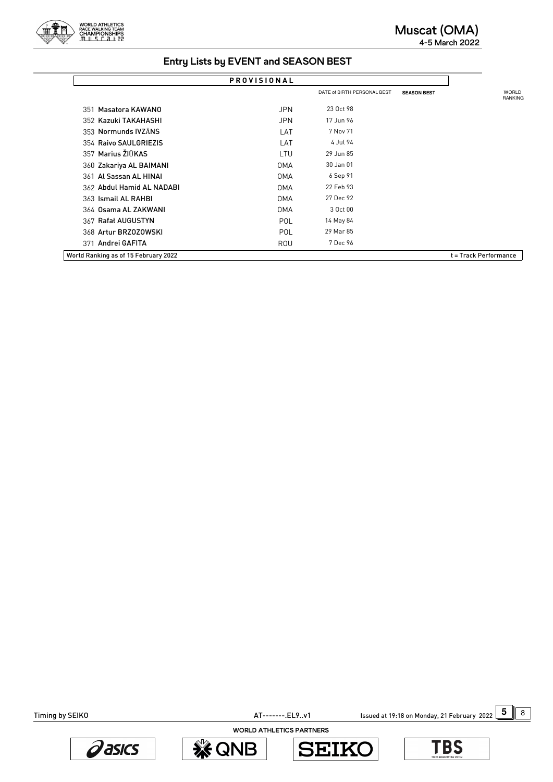

#### **4-5 March 2022**

## Entry Lists by EVENT and SEASON BEST

|                                      | PROVISIONAL      |                             |                    |                                |
|--------------------------------------|------------------|-----------------------------|--------------------|--------------------------------|
|                                      |                  | DATE of BIRTH PERSONAL BEST | <b>SEASON BEST</b> | <b>WORLD</b><br><b>RANKING</b> |
| 351 Masatora KAWANO                  | <b>JPN</b>       | 23 Oct 98                   |                    |                                |
| 352 Kazuki TAKAHASHI                 | <b>JPN</b>       | 17 Jun 96                   |                    |                                |
| 353 Normunds IVZĀNS                  | LAT              | 7 Nov 71                    |                    |                                |
| 354 Raivo SAULGRIEZIS                | LAT              | 4 Jul 94                    |                    |                                |
| 357 Marius ŽIŪKAS                    | LTU              | 29 Jun 85                   |                    |                                |
| 360 Zakariya AL BAIMANI              | <b>OMA</b>       | 30 Jan 01                   |                    |                                |
| 361 Al Sassan AL HINAI               | <b>OMA</b>       | 6 Sep 91                    |                    |                                |
| 362 Abdul Hamid AL NADABI            | <b>OMA</b>       | 22 Feb 93                   |                    |                                |
| 363 Ismail AL RAHBI                  | <b>OMA</b>       | 27 Dec 92                   |                    |                                |
| 364 Osama AL ZAKWANI                 | 0 <sub>M</sub> A | 3 Oct 00                    |                    |                                |
| 367 Rafał AUGUSTYN                   | POL              | 14 May 84                   |                    |                                |
| 368 Artur BRZ0Z0WSKI                 | POL              | 29 Mar 85                   |                    |                                |
| 371 Andrei GAFITA                    | <b>ROU</b>       | 7 Dec 96                    |                    |                                |
| World Ranking as of 15 February 2022 |                  |                             |                    | t = Track Performance          |









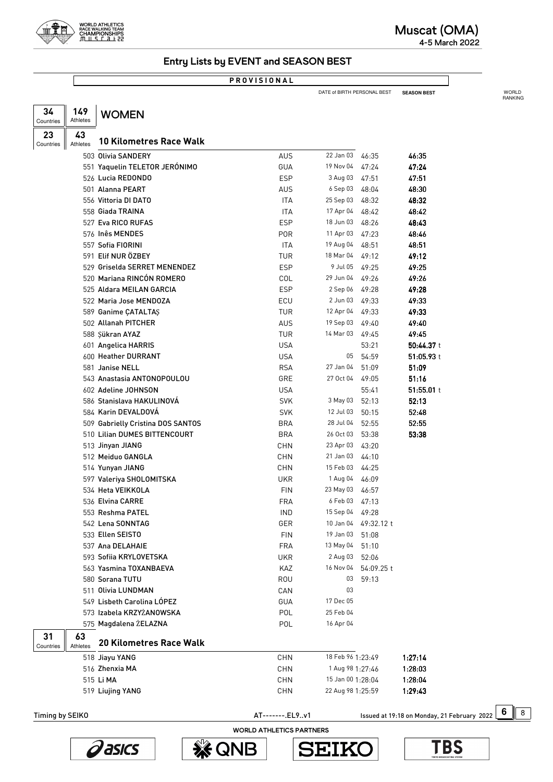

# **Muscat (OMA) 4-5 March 2022**

 $\overline{\mathsf{T}}$ 

#### Entry Lists by EVENT and SEASON BEST

|           |                |                                                  | PROVISIONAL |                             |                      |                    |                                |
|-----------|----------------|--------------------------------------------------|-------------|-----------------------------|----------------------|--------------------|--------------------------------|
|           |                |                                                  |             | DATE of BIRTH PERSONAL BEST |                      | <b>SEASON BEST</b> | <b>WORLD</b><br><b>RANKING</b> |
| 34        | 149            | <b>WOMEN</b>                                     |             |                             |                      |                    |                                |
| Countries | Athletes       |                                                  |             |                             |                      |                    |                                |
| 23        | 43<br>Athletes | <b>10 Kilometres Race Walk</b>                   |             |                             |                      |                    |                                |
| Countries |                | 503 Olivia SANDERY                               | <b>AUS</b>  | 22 Jan 03                   | 46:35                | 46:35              |                                |
|           |                | 551 Yaquelin TELETOR JERÓNIMO                    | GUA         | 19 Nov 04                   | 47:24                | 47.24              |                                |
|           |                | 526 Lucia REDONDO                                | <b>ESP</b>  | 3 Aug 03                    | 47:51                | 47:51              |                                |
|           |                | 501 Alanna PEART                                 | <b>AUS</b>  | 6 Sep 03                    | 48:04                | 48:30              |                                |
|           |                | 556 Vittoria DI DATO                             | <b>ITA</b>  | 25 Sep 03                   | 48:32                | 48:32              |                                |
|           |                | 558 Giada TRAINA                                 | <b>ITA</b>  | 17 Apr 04                   | 48:42                | 48:42              |                                |
|           |                | 527 Eva RICO RUFAS                               | <b>ESP</b>  | 18 Jun 03                   | 48:26                | 48:43              |                                |
|           |                | 576 Inês MENDES                                  | <b>POR</b>  | 11 Apr 03                   | 47:23                | 48:46              |                                |
|           |                | 557 Sofia FIORINI                                | <b>ITA</b>  | 19 Aug 04                   | 48:51                | 48:51              |                                |
|           |                | 591 Elif NUR ÖZBEY                               | TUR         | 18 Mar 04                   | 49:12                | 49:12              |                                |
|           |                | 529 Griselda SERRET MENENDEZ                     | <b>ESP</b>  | 9 Jul 05                    | 49:25                | 49:25              |                                |
|           |                | 520 Mariana RINCÓN ROMERO                        | COL         | 29 Jun 04                   | 49:26                | 49:26              |                                |
|           |                | 525 Aldara MEILAN GARCIA                         | <b>ESP</b>  | 2 Sep 06                    | 49:28                | 49:28              |                                |
|           |                | 522 Maria Jose MENDOZA                           | ECU         | 2 Jun 03 49:33              |                      | 49:33              |                                |
|           |                | 589 Ganime CATALTAS                              | <b>TUR</b>  | 12 Apr 04 49:33             |                      | 49:33              |                                |
|           |                | 502 Allanah PITCHER                              | <b>AUS</b>  | 19 Sep 03                   | 49:40                | 49:40              |                                |
|           |                | 588 Şükran AYAZ                                  | TUR         | 14 Mar 03 49:45             |                      | 49:45              |                                |
|           |                | 601 Angelica HARRIS                              | <b>USA</b>  |                             | 53:21                | 50:44.37 t         |                                |
|           |                | 600 Heather DURRANT                              | <b>USA</b>  | 05                          | 54:59                | $51:05.93$ t       |                                |
|           |                | 581 Janise NELL                                  | <b>RSA</b>  | 27 Jan 04                   | 51:09                | 51:09              |                                |
|           |                | 543 Anastasia ANTONOPOULOU                       | GRE         | 27 Oct 04 49:05             |                      | 51:16              |                                |
|           |                | 602 Adeline JOHNSON                              | <b>USA</b>  |                             | 55:41                | $51:55.01$ t       |                                |
|           |                | 586 Stanislava HAKULINOVA                        | <b>SVK</b>  | 3 May 03 52:13              |                      | 52:13              |                                |
|           |                | 584 Karin DEVALDOVÁ                              | <b>SVK</b>  | 12 Jul 03                   | 50:15                | 52:48              |                                |
|           |                | 509 Gabrielly Cristina DOS SANTOS                | <b>BRA</b>  | 28 Jul 04                   | 52:55                | 52:55              |                                |
|           |                | 510 Lilian DUMES BITTENCOURT                     | <b>BRA</b>  | 26 Oct 03                   | 53:38                | 53:38              |                                |
|           |                | 513 Jinyan JIANG                                 | <b>CHN</b>  | 23 Apr 03                   | 43:20                |                    |                                |
|           |                | 512 Meiduo GANGLA                                | <b>CHN</b>  | 21 Jan 03                   | 44:10                |                    |                                |
|           |                | 514 Yunyan JIANG                                 | <b>CHN</b>  | 15 Feb 03                   | 44:25                |                    |                                |
|           |                | 597 Valeriya SHOLOMITSKA                         | <b>UKR</b>  | 1 Aug 04 46:09              |                      |                    |                                |
|           |                | 534 Heta VEIKKOLA                                | <b>FIN</b>  | 23 May 03 46:57             |                      |                    |                                |
|           |                | 536 Elvina CARRE                                 | FRA         | 6 Feb 03 47:13              |                      |                    |                                |
|           |                | 553 Reshma PATEL                                 | <b>IND</b>  | 15 Sep 04 49:28             |                      |                    |                                |
|           |                | 542 Lena SONNTAG                                 | GER         |                             | 10 Jan 04 49:32.12 t |                    |                                |
|           |                | 533 Ellen SEISTO                                 | <b>FIN</b>  | 19 Jan 03 51:08             |                      |                    |                                |
|           |                | 537 Ana DELAHAIE                                 | <b>FRA</b>  | 13 May 04 51:10             |                      |                    |                                |
|           |                | 593 Sofiia KRYLOVETSKA                           | <b>UKR</b>  | 2 Aug 03 52:06              |                      |                    |                                |
|           |                | 563 Yasmina TOXANBAEVA                           | KAZ         | 03                          | 16 Nov 04 54:09.25 t |                    |                                |
|           |                | 580 Sorana TUTU                                  | <b>ROU</b>  | 03                          | 59:13                |                    |                                |
|           |                | 511 Olivia LUNDMAN<br>549 Lisbeth Carolina LÓPEZ | CAN<br>GUA  | 17 Dec 05                   |                      |                    |                                |
|           |                | 573 Izabela KRZYŻANOWSKA                         | POL         | 25 Feb 04                   |                      |                    |                                |
|           |                | 575 Magdalena ŻELAZNA                            | POL         | 16 Apr 04                   |                      |                    |                                |
| 31        | 63             |                                                  |             |                             |                      |                    |                                |
| Countries | Athletes       | <b>20 Kilometres Race Walk</b>                   |             |                             |                      |                    |                                |
|           |                | 518 Jiayu YANG                                   | <b>CHN</b>  | 18 Feb 96 1:23:49           |                      | 1:27:14            |                                |
|           |                | 516 Zhenxia MA                                   | <b>CHN</b>  | 1 Aug 98 1:27:46            |                      | 1:28:03            |                                |
|           |                | 515 Li MA                                        | <b>CHN</b>  | 15 Jan 00 1:28:04           |                      | 1:28:04            |                                |
|           |                | 519 Liujing YANG                                 | <b>CHN</b>  | 22 Aug 98 1:25:59           |                      | 1:29:43            |                                |

AT--------.EL9..v1 **6** Issued at 19:18 on Monday, 21 February 2022 6 8 WORLD ATHLETICS PARTNERS







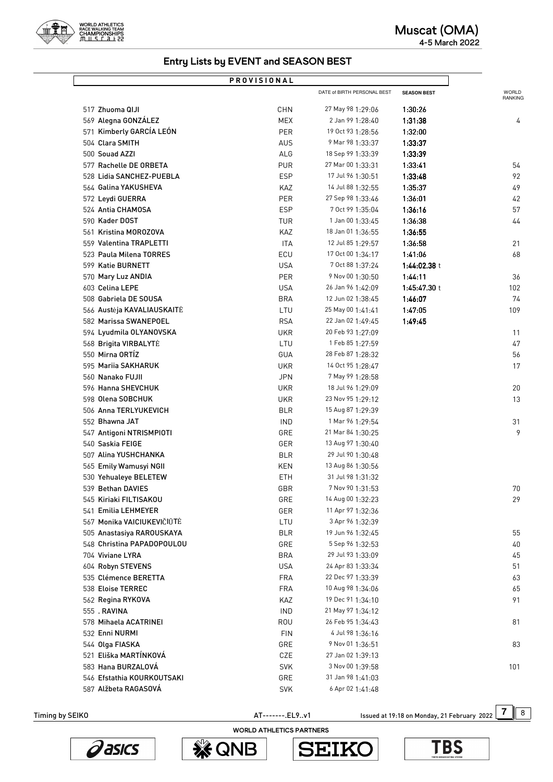

|                            | PROVISIONAL |                             |                    |                         |
|----------------------------|-------------|-----------------------------|--------------------|-------------------------|
|                            |             | DATE of BIRTH PERSONAL BEST | <b>SEASON BEST</b> | WORLD<br><b>RANKING</b> |
| 517 Zhuoma QIJI            | CHN         | 27 May 98 1:29:06           | 1:30:26            |                         |
| 569 Alegna GONZÁLEZ        | MEX         | 2 Jan 99 1:28:40            | 1:31:38            | 4                       |
| 571 Kimberly GARCÍA LEÓN   | PER         | 19 Oct 93 1:28:56           | 1:32:00            |                         |
| 504 Clara SMITH            | AUS         | 9 Mar 98 1:33:37            | 1:33:37            |                         |
| 500 Souad AZZI             | ALG         | 18 Sep 99 1:33:39           | 1:33:39            |                         |
| 577 Rachelle DE ORBETA     | <b>PUR</b>  | 27 Mar 00 1:33:31           | 1:33:41            | 54                      |
| 528 Lidia SANCHEZ-PUEBLA   | <b>ESP</b>  | 17 Jul 96 1:30:51           | 1:33:48            | 92                      |
| 564 Galina YAKUSHEVA       | KAZ         | 14 Jul 88 1:32:55           | 1:35:37            | 49                      |
| 572 Leydi GUERRA           | PER         | 27 Sep 98 1:33:46           | 1:36:01            | 42                      |
| 524 Antia CHAMOSA          | <b>ESP</b>  | 7 Oct 99 1:35:04            | 1:36:16            | 57                      |
| 590 Kader DOST             | TUR         | 1 Jan 00 1:33:45            | 1:36:38            | 44                      |
| 561 Kristina MOROZOVA      | KAZ         | 18 Jan 01 1:36:55           | 1:36:55            |                         |
| 559 Valentina TRAPLETTI    | ITA         | 12 Jul 85 1:29:57           | 1:36:58            | 21                      |
| 523 Paula Milena TORRES    | ECU         | 17 Oct 00 1:34:17           | 1:41:06            | 68                      |
| 599 Katie BURNETT          | <b>USA</b>  | 7 Oct 88 1:37:24            | $1:44:02.38$ t     |                         |
| 570 Mary Luz ANDIA         | PER         | 9 Nov 00 1:30:50            | 1:44:11            | 36                      |
| 603 Celina LEPE            | <b>USA</b>  | 26 Jan 96 1:42:09           | $1:45:47.30$ t     | 102                     |
| 508 Gabriela DE SOUSA      | <b>BRA</b>  | 12 Jun 02 1:38:45           | 1:46:07            | 74                      |
| 566 Austeja KAVALIAUSKAITĖ | LTU         | 25 May 00 1:41:41           | 1:47:05            | 109                     |
| 582 Marissa SWANEPOEL      | <b>RSA</b>  | 22 Jan 02 1:49:45           | 1:49:45            |                         |
| 594 Lyudmila OLYANOVSKA    | <b>UKR</b>  | 20 Feb 93 1:27:09           |                    | 11                      |
| 568 Brigita VIRBALYTĖ      | LTU         | 1 Feb 85 1:27:59            |                    | 47                      |
| 550 Mirna ORTIZ            | GUA         | 28 Feb 87 1:28:32           |                    | 56                      |
| 595 Mariia SAKHARUK        | <b>UKR</b>  | 14 Oct 95 1:28:47           |                    | 17                      |
| 560 Nanako FUJII           | <b>JPN</b>  | 7 May 99 1:28:58            |                    |                         |
| 596 Hanna SHEVCHUK         | <b>UKR</b>  | 18 Jul 96 1:29:09           |                    | 20                      |
| 598 Olena SOBCHUK          | <b>UKR</b>  | 23 Nov 95 1:29:12           |                    | 13                      |
| 506 Anna TERLYUKEVICH      | <b>BLR</b>  | 15 Aug 87 1:29:39           |                    |                         |
| 552 Bhawna JAT             | <b>IND</b>  | 1 Mar 96 1:29:54            |                    | 31                      |
| 547 Antigoni NTRISMPIOTI   | GRE         | 21 Mar 84 1:30:25           |                    | 9                       |
| 540 Saskia FEIGE           | GER         | 13 Aug 97 1:30:40           |                    |                         |
| 507 Alina YUSHCHANKA       | <b>BLR</b>  | 29 Jul 90 1:30:48           |                    |                         |
| 565 Emily Wamusyi NGII     | <b>KEN</b>  | 13 Aug 86 1:30:56           |                    |                         |
| 530 Yehualeye BELETEW      | <b>ETH</b>  | 31 Jul 98 1:31:32           |                    |                         |
| 539 Bethan DAVIES          | GBR         | 7 Nov 90 1:31:53            |                    | 70                      |
| 545 Kiriaki FILTISAKOU     | GRE         | 14 Aug 00 1:32:23           |                    | 29                      |
| 541 Emilia LEHMEYER        | GER         | 11 Apr 97 1:32:36           |                    |                         |
| 567 Monika VAICIUKEVIČIŪTĖ | LTU         | 3 Apr 96 1:32:39            |                    |                         |
| 505 Anastasiya RAROUSKAYA  | <b>BLR</b>  | 19 Jun 96 1:32:45           |                    | 55                      |
| 548 Christina PAPADOPOULOU | GRE         | 5 Sep 96 1:32:53            |                    | 40                      |
| 704 Viviane LYRA           | <b>BRA</b>  | 29 Jul 93 1:33:09           |                    | 45                      |
| 604 Robyn STEVENS          | <b>USA</b>  | 24 Apr 83 1:33:34           |                    | 51                      |
| 535 Clémence BERETTA       | <b>FRA</b>  | 22 Dec 97 1:33:39           |                    | 63                      |
| 538 Eloise TERREC          | <b>FRA</b>  | 10 Aug 98 1:34:06           |                    | 65                      |
| 562 Regina RYKOVA          | KAZ         | 19 Dec 91 1:34:10           |                    | 91                      |
| 555.RAVINA                 | <b>IND</b>  | 21 May 97 1:34:12           |                    |                         |
| 578 Mihaela ACATRINEI      | <b>ROU</b>  | 26 Feb 95 1:34:43           |                    | 81                      |
| 532 Enni NURMI             | <b>FIN</b>  | 4 Jul 98 1:36:16            |                    |                         |
| 544 Olga FIASKA            | GRE         | 9 Nov 01 1:36:51            |                    | 83                      |
| 521 Eliška MARTÍNKOVÁ      | CZE         | 27 Jan 02 1:39:13           |                    |                         |
| 583 Hana BURZALOVÁ         | <b>SVK</b>  | 3 Nov 00 1:39:58            |                    | 101                     |
| 546 Efstathia KOURKOUTSAKI | GRE         | 31 Jan 98 1:41:03           |                    |                         |
| 587 Alžbeta RAGASOVÁ       | <b>SVK</b>  | 6 Apr 02 1:41:48            |                    |                         |
|                            |             |                             |                    |                         |

AT--------.EL9..v1 **7** Issued at 19:18 on Monday, 21 February 2022 7 8